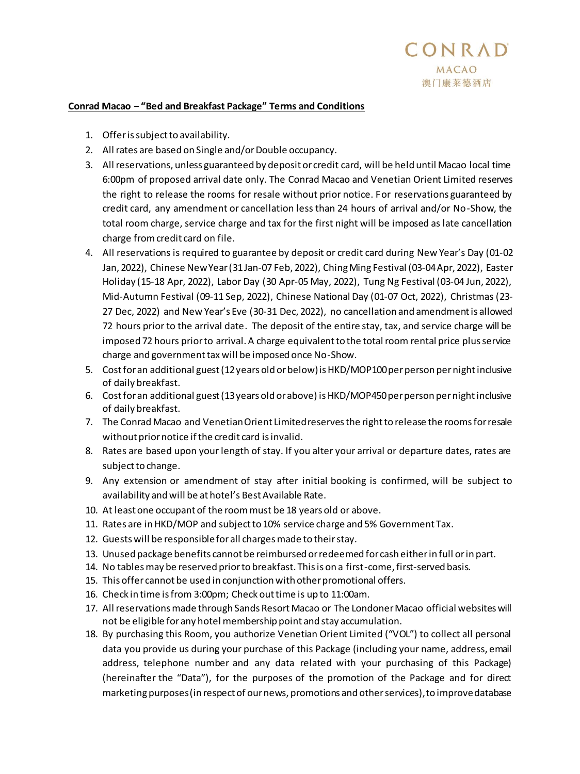## **Conrad Macao − "Bed and Breakfast Package" Terms and Conditions**

- 1. Offer is subject to availability.
- 2. All rates are based on Single and/or Double occupancy.
- 3. All reservations, unless guaranteed by deposit or credit card, will be held until Macao local time 6:00pm of proposed arrival date only. The Conrad Macao and Venetian Orient Limited reserves the right to release the rooms for resale without prior notice. For reservations guaranteed by credit card, any amendment or cancellation less than 24 hours of arrival and/or No-Show, the total room charge, service charge and tax for the first night will be imposed as late cancellation charge from credit card on file.
- 4. All reservations is required to guarantee by deposit or credit card during New Year's Day (01-02 Jan, 2022), Chinese New Year (31 Jan-07 Feb, 2022), Ching Ming Festival (03-04 Apr, 2022), Easter Holiday (15-18 Apr, 2022), Labor Day (30 Apr-05 May, 2022), Tung Ng Festival (03-04 Jun, 2022), Mid-Autumn Festival (09-11 Sep, 2022), Chinese National Day (01-07 Oct, 2022), Christmas (23- 27 Dec, 2022) and New Year's Eve (30-31 Dec, 2022), no cancellation and amendment is allowed 72 hours prior to the arrival date. The deposit of the entire stay, tax, and service charge will be imposed 72 hours prior to arrival. A charge equivalent to the total room rental price plus service charge and government tax will be imposed once No-Show.
- 5. Cost for an additional guest (12 years old or below) is HKD/MOP100 per person per night inclusive of daily breakfast.
- 6. Cost for an additional guest (13 years old or above) is HKD/MOP450 per person per night inclusive of daily breakfast.
- 7. The Conrad Macao and Venetian Orient Limited reserves the right to release the rooms for resale without prior notice if the credit card is invalid.
- 8. Rates are based upon your length of stay. If you alter your arrival or departure dates, rates are subject to change.
- 9. Any extension or amendment of stay after initial booking is confirmed, will be subject to availability and will be at hotel's Best Available Rate.
- 10. At least one occupant of the room must be 18 years old or above.
- 11. Rates are in HKD/MOP and subject to 10% service charge and 5% Government Tax.
- 12. Guests will be responsible for all charges made to their stay.
- 13. Unused package benefits cannot be reimbursed or redeemed for cash either in full or in part.
- 14. No tables may be reserved prior to breakfast. This is on a first-come, first-served basis.
- 15. This offer cannot be used in conjunction with other promotional offers.
- 16. Check in time is from 3:00pm; Check out time is up to 11:00am.
- 17. All reservations made through Sands Resort Macao or The Londoner Macao official websites will not be eligible for any hotel membership point and stay accumulation.
- 18. By purchasing this Room, you authorize Venetian Orient Limited ("VOL") to collect all personal data you provide us during your purchase of this Package (including your name, address, email address, telephone number and any data related with your purchasing of this Package) (hereinafter the "Data"), for the purposes of the promotion of the Package and for direct marketing purposes (in respect of our news, promotions and other services), to improve database